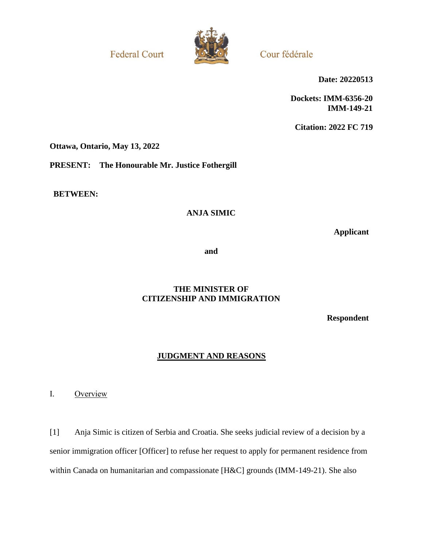**Federal Court** 



Cour fédérale

**Date: 20220513**

**Dockets: IMM-6356-20 IMM-149-21**

**Citation: 2022 FC 719**

**Ottawa, Ontario, May 13, 2022**

**PRESENT: The Honourable Mr. Justice Fothergill**

**BETWEEN:**

## **ANJA SIMIC**

**Applicant**

**and**

## **THE MINISTER OF CITIZENSHIP AND IMMIGRATION**

**Respondent**

## **JUDGMENT AND REASONS**

I. Overview

[1] Anja Simic is citizen of Serbia and Croatia. She seeks judicial review of a decision by a senior immigration officer [Officer] to refuse her request to apply for permanent residence from within Canada on humanitarian and compassionate [H&C] grounds (IMM-149-21). She also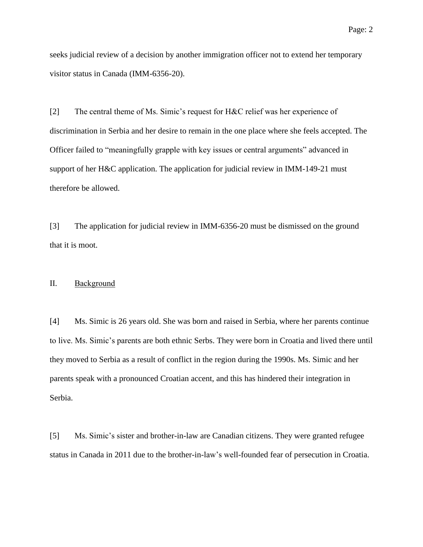seeks judicial review of a decision by another immigration officer not to extend her temporary visitor status in Canada (IMM-6356-20).

[2] The central theme of Ms. Simic's request for H&C relief was her experience of discrimination in Serbia and her desire to remain in the one place where she feels accepted. The Officer failed to "meaningfully grapple with key issues or central arguments" advanced in support of her H&C application. The application for judicial review in IMM-149-21 must therefore be allowed.

[3] The application for judicial review in IMM-6356-20 must be dismissed on the ground that it is moot.

#### II. Background

[4] Ms. Simic is 26 years old. She was born and raised in Serbia, where her parents continue to live. Ms. Simic's parents are both ethnic Serbs. They were born in Croatia and lived there until they moved to Serbia as a result of conflict in the region during the 1990s. Ms. Simic and her parents speak with a pronounced Croatian accent, and this has hindered their integration in Serbia.

[5] Ms. Simic's sister and brother-in-law are Canadian citizens. They were granted refugee status in Canada in 2011 due to the brother-in-law's well-founded fear of persecution in Croatia.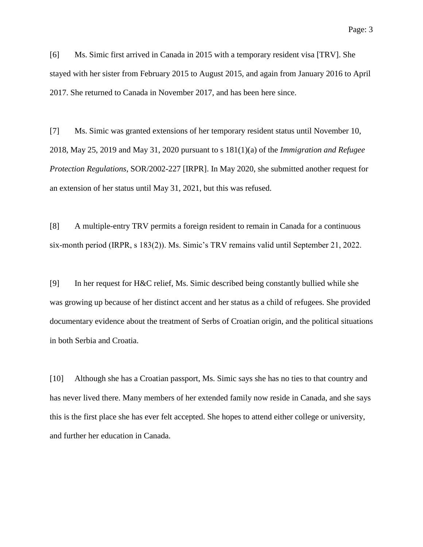[6] Ms. Simic first arrived in Canada in 2015 with a temporary resident visa [TRV]. She stayed with her sister from February 2015 to August 2015, and again from January 2016 to April 2017. She returned to Canada in November 2017, and has been here since.

[7] Ms. Simic was granted extensions of her temporary resident status until November 10, 2018, May 25, 2019 and May 31, 2020 pursuant to s 181(1)(a) of the *Immigration and Refugee Protection Regulations*, SOR/2002-227 [IRPR]. In May 2020, she submitted another request for an extension of her status until May 31, 2021, but this was refused.

[8] A multiple-entry TRV permits a foreign resident to remain in Canada for a continuous six-month period (IRPR, s 183(2)). Ms. Simic's TRV remains valid until September 21, 2022.

[9] In her request for H&C relief, Ms. Simic described being constantly bullied while she was growing up because of her distinct accent and her status as a child of refugees. She provided documentary evidence about the treatment of Serbs of Croatian origin, and the political situations in both Serbia and Croatia.

[10] Although she has a Croatian passport, Ms. Simic says she has no ties to that country and has never lived there. Many members of her extended family now reside in Canada, and she says this is the first place she has ever felt accepted. She hopes to attend either college or university, and further her education in Canada.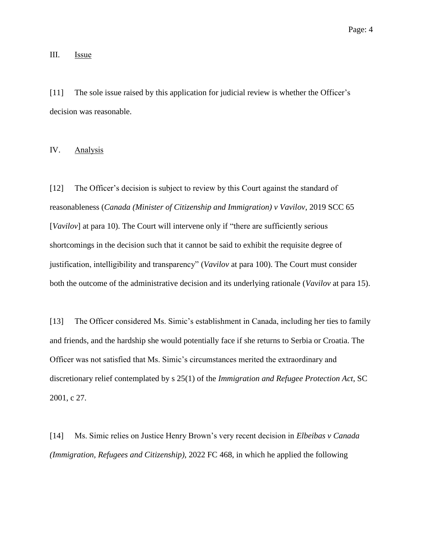#### III. **Issue**

[11] The sole issue raised by this application for judicial review is whether the Officer's decision was reasonable.

IV. Analysis

[12] The Officer's decision is subject to review by this Court against the standard of reasonableness (*Canada (Minister of Citizenship and Immigration) v Vavilov*, 2019 SCC 65 [*Vavilov*] at para 10). The Court will intervene only if "there are sufficiently serious shortcomings in the decision such that it cannot be said to exhibit the requisite degree of justification, intelligibility and transparency" (*Vavilov* at para 100). The Court must consider both the outcome of the administrative decision and its underlying rationale (*Vavilov* at para 15).

[13] The Officer considered Ms. Simic's establishment in Canada, including her ties to family and friends, and the hardship she would potentially face if she returns to Serbia or Croatia. The Officer was not satisfied that Ms. Simic's circumstances merited the extraordinary and discretionary relief contemplated by s 25(1) of the *Immigration and Refugee Protection Act*, SC 2001, c 27.

[14] Ms. Simic relies on Justice Henry Brown's very recent decision in *Elbeibas v Canada (Immigration, Refugees and Citizenship)*, 2022 FC 468, in which he applied the following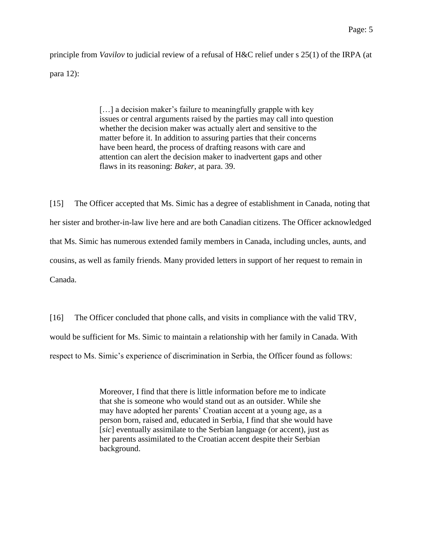principle from *Vavilov* to judicial review of a refusal of H&C relief under s 25(1) of the IRPA (at para 12):

> [...] a decision maker's failure to meaningfully grapple with key issues or central arguments raised by the parties may call into question whether the decision maker was actually alert and sensitive to the matter before it. In addition to assuring parties that their concerns have been heard, the process of drafting reasons with care and attention can alert the decision maker to inadvertent gaps and other flaws in its reasoning: *Baker*, at para. 39.

[15] The Officer accepted that Ms. Simic has a degree of establishment in Canada, noting that her sister and brother-in-law live here and are both Canadian citizens. The Officer acknowledged that Ms. Simic has numerous extended family members in Canada, including uncles, aunts, and cousins, as well as family friends. Many provided letters in support of her request to remain in Canada.

[16] The Officer concluded that phone calls, and visits in compliance with the valid TRV, would be sufficient for Ms. Simic to maintain a relationship with her family in Canada. With respect to Ms. Simic's experience of discrimination in Serbia, the Officer found as follows:

> Moreover, I find that there is little information before me to indicate that she is someone who would stand out as an outsider. While she may have adopted her parents' Croatian accent at a young age, as a person born, raised and, educated in Serbia, I find that she would have [*sic*] eventually assimilate to the Serbian language (or accent), just as her parents assimilated to the Croatian accent despite their Serbian background.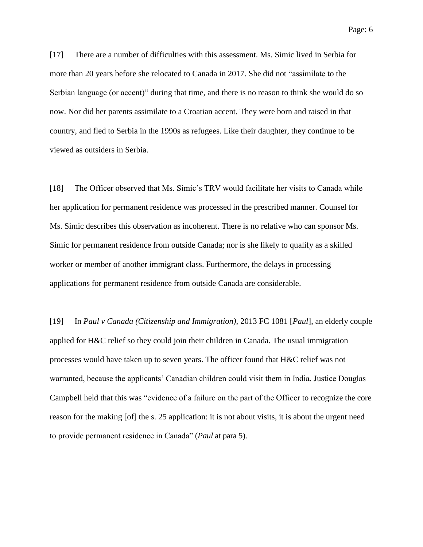[17] There are a number of difficulties with this assessment. Ms. Simic lived in Serbia for more than 20 years before she relocated to Canada in 2017. She did not "assimilate to the Serbian language (or accent)" during that time, and there is no reason to think she would do so now. Nor did her parents assimilate to a Croatian accent. They were born and raised in that country, and fled to Serbia in the 1990s as refugees. Like their daughter, they continue to be viewed as outsiders in Serbia.

[18] The Officer observed that Ms. Simic's TRV would facilitate her visits to Canada while her application for permanent residence was processed in the prescribed manner. Counsel for Ms. Simic describes this observation as incoherent. There is no relative who can sponsor Ms. Simic for permanent residence from outside Canada; nor is she likely to qualify as a skilled worker or member of another immigrant class. Furthermore, the delays in processing applications for permanent residence from outside Canada are considerable.

[19] In *Paul v Canada (Citizenship and Immigration)*, 2013 FC 1081 [*Paul*], an elderly couple applied for H&C relief so they could join their children in Canada. The usual immigration processes would have taken up to seven years. The officer found that H&C relief was not warranted, because the applicants' Canadian children could visit them in India. Justice Douglas Campbell held that this was "evidence of a failure on the part of the Officer to recognize the core reason for the making [of] the s. 25 application: it is not about visits, it is about the urgent need to provide permanent residence in Canada" (*Paul* at para 5).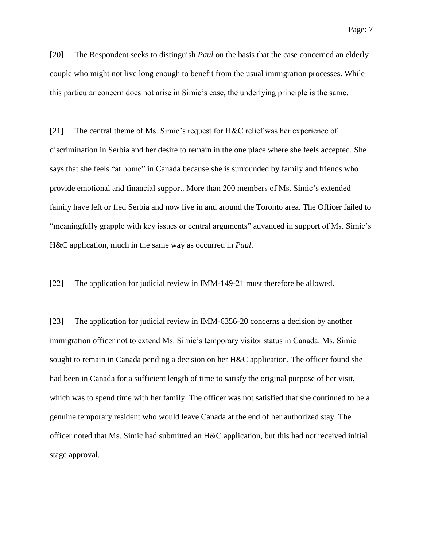[20] The Respondent seeks to distinguish *Paul* on the basis that the case concerned an elderly couple who might not live long enough to benefit from the usual immigration processes. While this particular concern does not arise in Simic's case, the underlying principle is the same.

[21] The central theme of Ms. Simic's request for H&C relief was her experience of discrimination in Serbia and her desire to remain in the one place where she feels accepted. She says that she feels "at home" in Canada because she is surrounded by family and friends who provide emotional and financial support. More than 200 members of Ms. Simic's extended family have left or fled Serbia and now live in and around the Toronto area. The Officer failed to "meaningfully grapple with key issues or central arguments" advanced in support of Ms. Simic's H&C application, much in the same way as occurred in *Paul*.

[22] The application for judicial review in IMM-149-21 must therefore be allowed.

[23] The application for judicial review in IMM-6356-20 concerns a decision by another immigration officer not to extend Ms. Simic's temporary visitor status in Canada. Ms. Simic sought to remain in Canada pending a decision on her H&C application. The officer found she had been in Canada for a sufficient length of time to satisfy the original purpose of her visit, which was to spend time with her family. The officer was not satisfied that she continued to be a genuine temporary resident who would leave Canada at the end of her authorized stay. The officer noted that Ms. Simic had submitted an H&C application, but this had not received initial stage approval.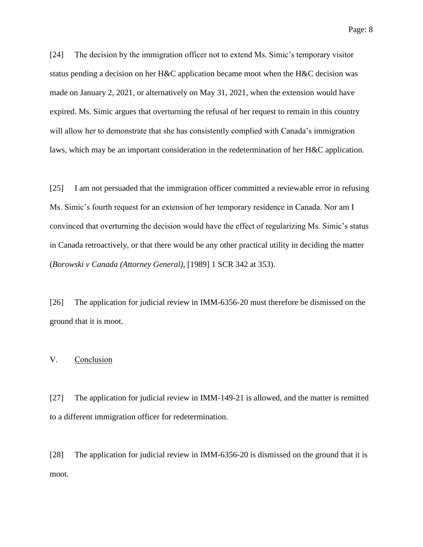Page: 8

[24] The decision by the immigration officer not to extend Ms. Simic's temporary visitor status pending a decision on her H&C application became moot when the H&C decision was made on January 2, 2021, or alternatively on May 31, 2021, when the extension would have expired. Ms. Simic argues that overturning the refusal of her request to remain in this country will allow her to demonstrate that she has consistently complied with Canada's immigration laws, which may be an important consideration in the redetermination of her H&C application.

[25] I am not persuaded that the immigration officer committed a reviewable error in refusing Ms. Simic's fourth request for an extension of her temporary residence in Canada. Nor am I convinced that overturning the decision would have the effect of regularizing Ms. Simic's status in Canada retroactively, or that there would be any other practical utility in deciding the matter (*Borowski v Canada (Attorney General)*, [1989] 1 SCR 342 at 353).

[26] The application for judicial review in IMM-6356-20 must therefore be dismissed on the ground that it is moot.

#### V. Conclusion

[27] The application for judicial review in IMM-149-21 is allowed, and the matter is remitted to a different immigration officer for redetermination.

[28] The application for judicial review in IMM-6356-20 is dismissed on the ground that it is moot.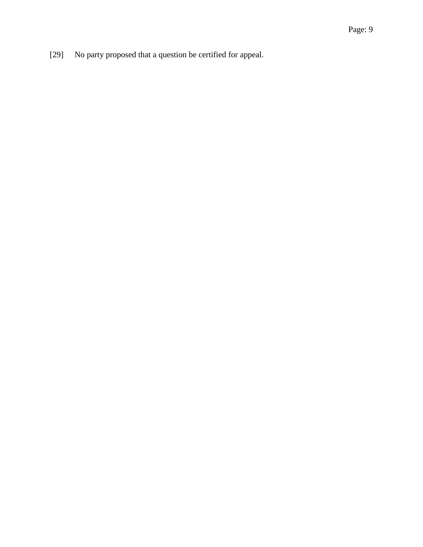[29] No party proposed that a question be certified for appeal.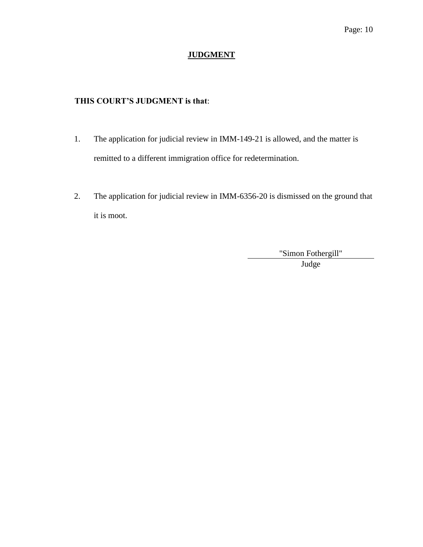## **JUDGMENT**

### **THIS COURT'S JUDGMENT is that**:

- 1. The application for judicial review in IMM-149-21 is allowed, and the matter is remitted to a different immigration office for redetermination.
- 2. The application for judicial review in IMM-6356-20 is dismissed on the ground that it is moot.

"Simon Fothergill" Judge